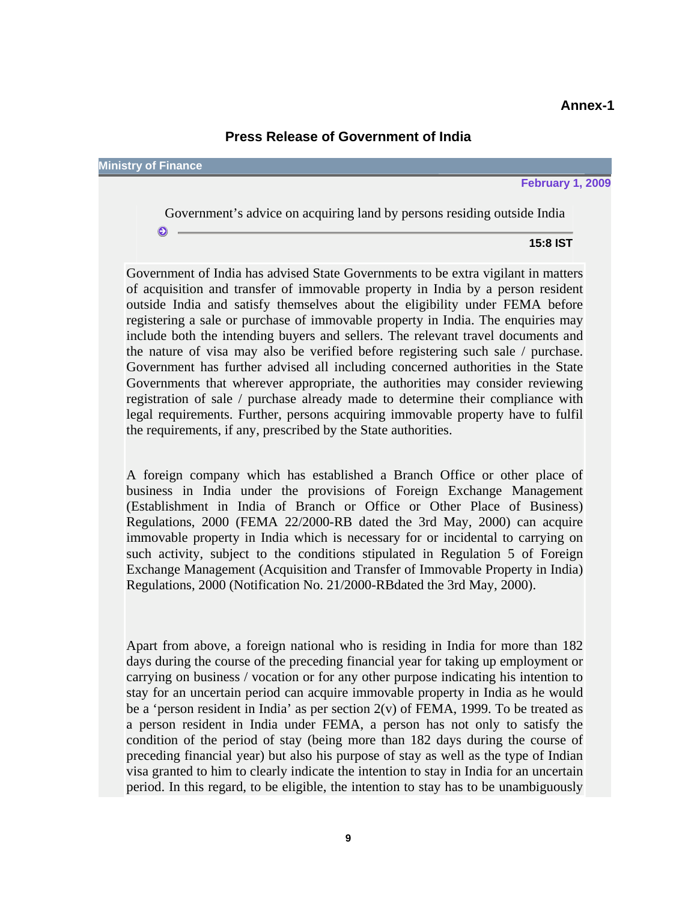## **Press Release of Government of India**

**Ministry of Finance**

 $\bullet$   $-$ 

**February 1, 2009**

Government's advice on acquiring land by persons residing outside India

**15:8 IST** 

Government of India has advised State Governments to be extra vigilant in matters of acquisition and transfer of immovable property in India by a person resident outside India and satisfy themselves about the eligibility under FEMA before registering a sale or purchase of immovable property in India. The enquiries may include both the intending buyers and sellers. The relevant travel documents and the nature of visa may also be verified before registering such sale / purchase. Government has further advised all including concerned authorities in the State Governments that wherever appropriate, the authorities may consider reviewing registration of sale / purchase already made to determine their compliance with legal requirements. Further, persons acquiring immovable property have to fulfil the requirements, if any, prescribed by the State authorities.

A foreign company which has established a Branch Office or other place of business in India under the provisions of Foreign Exchange Management (Establishment in India of Branch or Office or Other Place of Business) Regulations, 2000 (FEMA 22/2000-RB dated the 3rd May, 2000) can acquire immovable property in India which is necessary for or incidental to carrying on such activity, subject to the conditions stipulated in Regulation 5 of Foreign Exchange Management (Acquisition and Transfer of Immovable Property in India) Regulations, 2000 (Notification No. 21/2000-RBdated the 3rd May, 2000).

Apart from above, a foreign national who is residing in India for more than 182 days during the course of the preceding financial year for taking up employment or carrying on business / vocation or for any other purpose indicating his intention to stay for an uncertain period can acquire immovable property in India as he would be a 'person resident in India' as per section 2(v) of FEMA, 1999. To be treated as a person resident in India under FEMA, a person has not only to satisfy the condition of the period of stay (being more than 182 days during the course of preceding financial year) but also his purpose of stay as well as the type of Indian visa granted to him to clearly indicate the intention to stay in India for an uncertain period. In this regard, to be eligible, the intention to stay has to be unambiguously